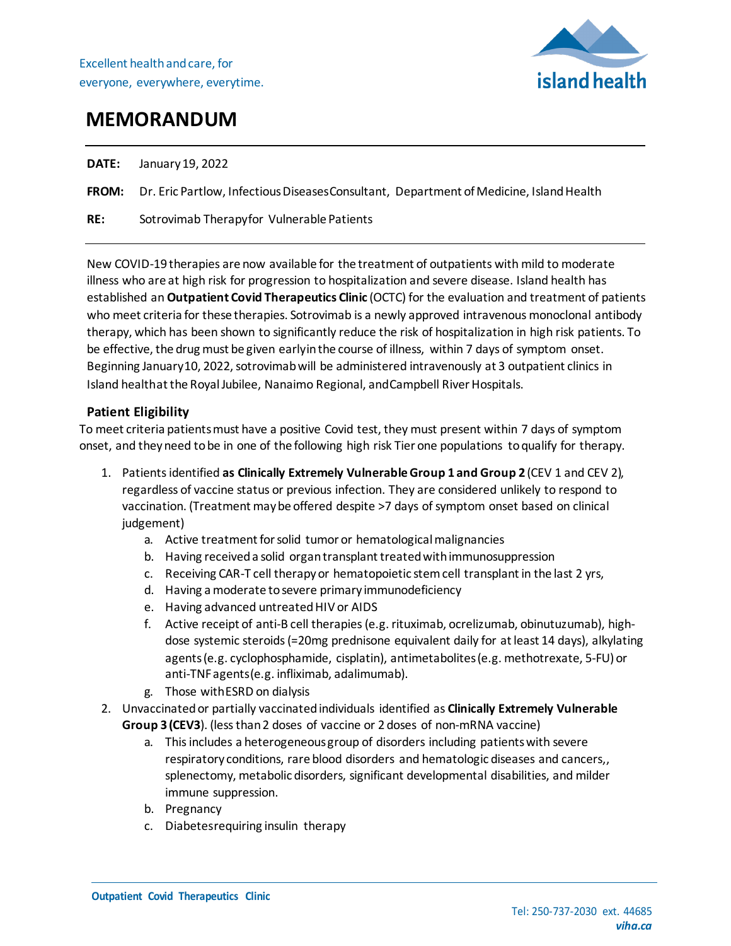

# **MEMORANDUM**

**DATE:** January19, 2022

**FROM:** Dr. Eric Partlow, Infectious Diseases Consultant, Department of Medicine, Island Health

**RE:** Sotrovimab Therapyfor Vulnerable Patients

New COVID-19 therapies are now available for the treatment of outpatients with mild to moderate illness who are at high risk for progression to hospitalization and severe disease. Island health has established an **Outpatient Covid Therapeutics Clinic** (OCTC) for the evaluation and treatment of patients who meet criteria for these therapies. Sotrovimab is a newly approved intravenous monoclonal antibody therapy, which has been shown to significantly reduce the risk of hospitalization in high risk patients. To be effective, the drug must be given earlyinthe course of illness, within 7 days of symptom onset. Beginning January10, 2022, sotrovimab will be administered intravenously at 3 outpatient clinics in Island healthat the Royal Jubilee, Nanaimo Regional, and Campbell River Hospitals.

## **Patient Eligibility**

To meet criteria patients must have a positive Covid test, they must present within 7 days of symptom onset, and theyneed tobe in one of the following high risk Tier one populations toqualify for therapy.

- 1. Patients identified **as Clinically Extremely Vulnerable Group 1 and Group 2** (CEV 1 and CEV 2), regardless of vaccine status or previous infection. They are considered unlikely to respond to vaccination. (Treatment may be offered despite >7 days of symptom onset based on clinical judgement)
	- a. Active treatment for solid tumor or hematological malignancies
	- b. Having received a solid organ transplant treated with immunosuppression
	- c. Receiving CAR-T cell therapyor hematopoietic stemcell transplantin the last 2 yrs,
	- d. Having a moderate tosevere primary immunodeficiency
	- e. Having advanced untreatedHIV or AIDS
	- f. Active receipt of anti-B cell therapies (e.g. rituximab, ocrelizumab, obinutuzumab), highdose systemic steroids(=20mg prednisone equivalent daily for atleast 14 days), alkylating agents (e.g. cyclophosphamide, cisplatin), antimetabolites (e.g. methotrexate, 5-FU) or anti-TNFagents(e.g. infliximab, adalimumab).
	- g. Those withESRD on dialysis
- 2. Unvaccinated or partially vaccinated individuals identified as **Clinically Extremely Vulnerable Group 3 (CEV3**). (lessthan2 doses of vaccine or 2 doses of non-mRNA vaccine)
	- a. This includes a heterogeneous group of disorders including patients with severe respiratory conditions, rare blood disorders and hematologic diseases and cancers,, splenectomy, metabolic disorders, significant developmental disabilities, and milder immune suppression.
	- b. Pregnancy
	- c. Diabetesrequiring insulin therapy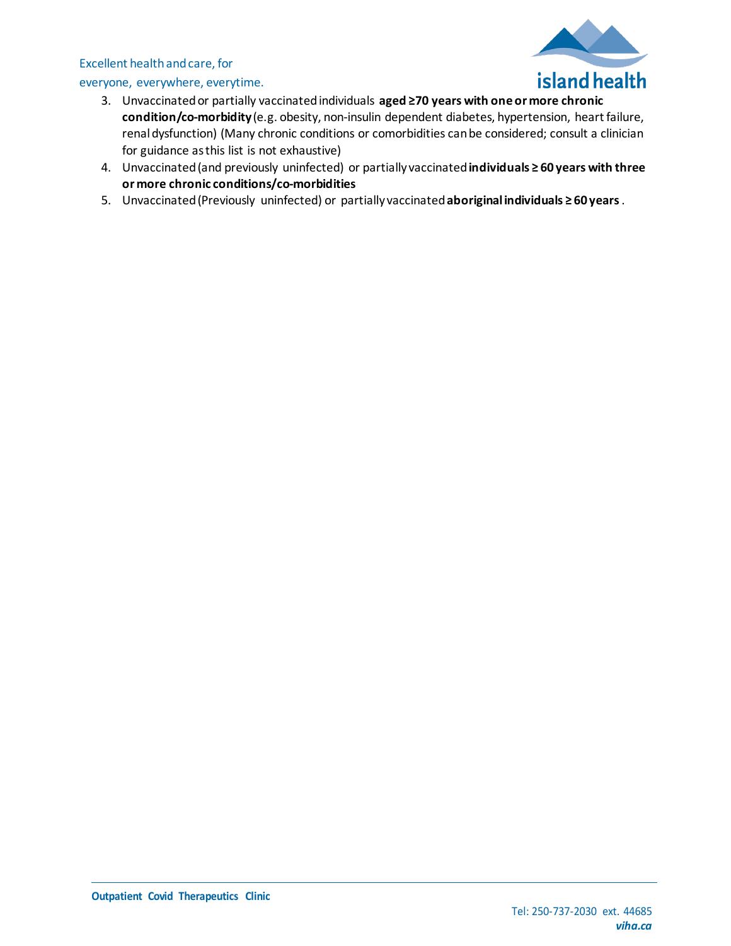## Excellent healthandcare, for

## everyone, everywhere, everytime.



- 3. Unvaccinated or partially vaccinated individuals **aged ≥70 years with one or more chronic condition/co-morbidity** (e.g. obesity, non-insulin dependent diabetes, hypertension, heart failure, renal dysfunction) (Many chronic conditions or comorbidities can be considered; consult a clinician for guidance asthis list is not exhaustive)
- 4. Unvaccinated(and previously uninfected) or partially vaccinated**individuals ≥ 60 years with three or more chronic conditions/co-morbidities**
- 5. Unvaccinated(Previously uninfected) or partially vaccinated**aboriginalindividuals ≥ 60 years**.